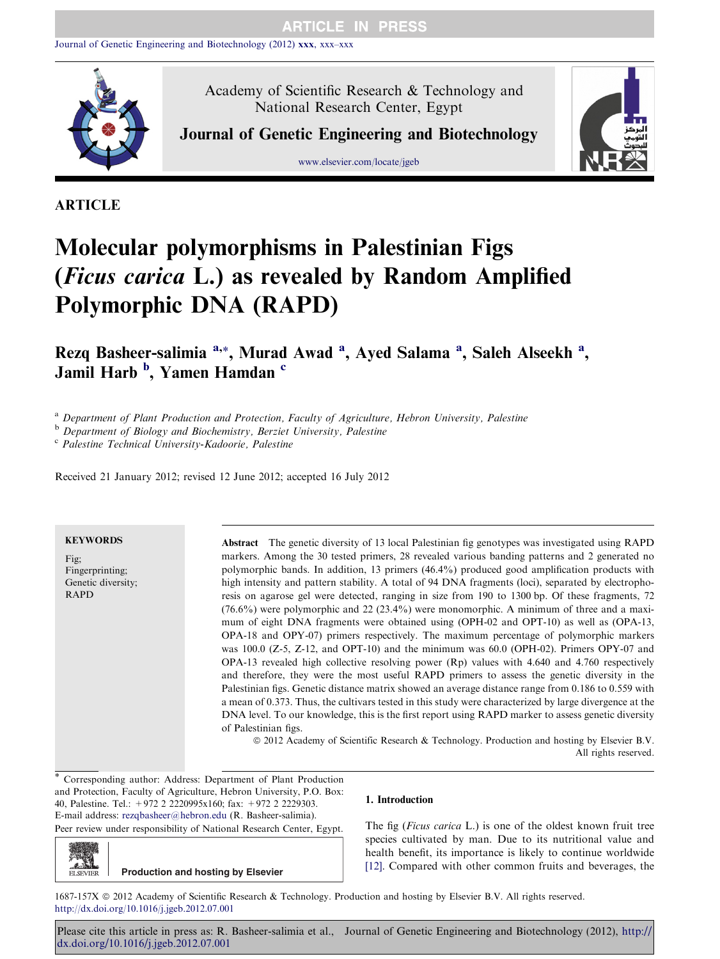

Academy of Scientific Research & Technology and National Research Center, Egypt

Journal of Genetic Engineering and Biotechnology

www.elsevier.com/locate/jgeb



# ARTICLE

# Molecular polymorphisms in Palestinian Figs (Ficus carica L.) as revealed by Random Amplified Polymorphic DNA (RAPD)

Rezq Basheer-salimia <sup>a,\*</sup>, Murad Awad <sup>a</sup>, Ayed Salama <sup>a</sup>, Saleh Alseekh <sup>a</sup>, Jamil Harb <sup>b</sup>, Yamen Hamdan <sup>c</sup>

<sup>a</sup> Department of Plant Production and Protection, Faculty of Agriculture, Hebron University, Palestine

b Department of Biology and Biochemistry, Berziet University, Palestine

<sup>c</sup> Palestine Technical University-Kadoorie, Palestine

Received 21 January 2012; revised 12 June 2012; accepted 16 July 2012

# **KEYWORDS**

Fig; Fingerprinting; Genetic diversity; RAPD

Abstract The genetic diversity of 13 local Palestinian fig genotypes was investigated using RAPD markers. Among the 30 tested primers, 28 revealed various banding patterns and 2 generated no polymorphic bands. In addition, 13 primers (46.4%) produced good amplification products with high intensity and pattern stability. A total of 94 DNA fragments (loci), separated by electrophoresis on agarose gel were detected, ranging in size from 190 to 1300 bp. Of these fragments, 72 (76.6%) were polymorphic and 22 (23.4%) were monomorphic. A minimum of three and a maximum of eight DNA fragments were obtained using (OPH-02 and OPT-10) as well as (OPA-13, OPA-18 and OPY-07) primers respectively. The maximum percentage of polymorphic markers was 100.0 (Z-5, Z-12, and OPT-10) and the minimum was 60.0 (OPH-02). Primers OPY-07 and OPA-13 revealed high collective resolving power (Rp) values with 4.640 and 4.760 respectively and therefore, they were the most useful RAPD primers to assess the genetic diversity in the Palestinian figs. Genetic distance matrix showed an average distance range from 0.186 to 0.559 with a mean of 0.373. Thus, the cultivars tested in this study were characterized by large divergence at the DNA level. To our knowledge, this is the first report using RAPD marker to assess genetic diversity of Palestinian figs.

ª 2012 Academy of Scientific Research & Technology. Production and hosting by Elsevier B.V. All rights reserved.

Corresponding author: Address: Department of Plant Production and Protection, Faculty of Agriculture, Hebron University, P.O. Box: 40, Palestine. Tel.: +972 2 2220995x160; fax: +972 2 2229303. E-mail address: [rezqbasheer@hebron.edu](mailto:rezqbasheer@hebron.edu) (R. Basheer-salimia). Peer review under responsibility of National Research Center, Egypt.

# 1. Introduction

The fig (*Ficus carica* L.) is one of the oldest known fruit tree species cultivated by man. Due to its nutritional value and health benefit, its importance is likely to continue worldwide [\[12\]](#page-6-0). Compared with other common fruits and beverages, the

**ELSEVIER Production and hosting by Elsevier**

1687-157X @ 2012 Academy of Scientific Research & Technology. Production and hosting by Elsevier B.V. All rights reserved. <http://dx.doi.org/10.1016/j.jgeb.2012.07.001>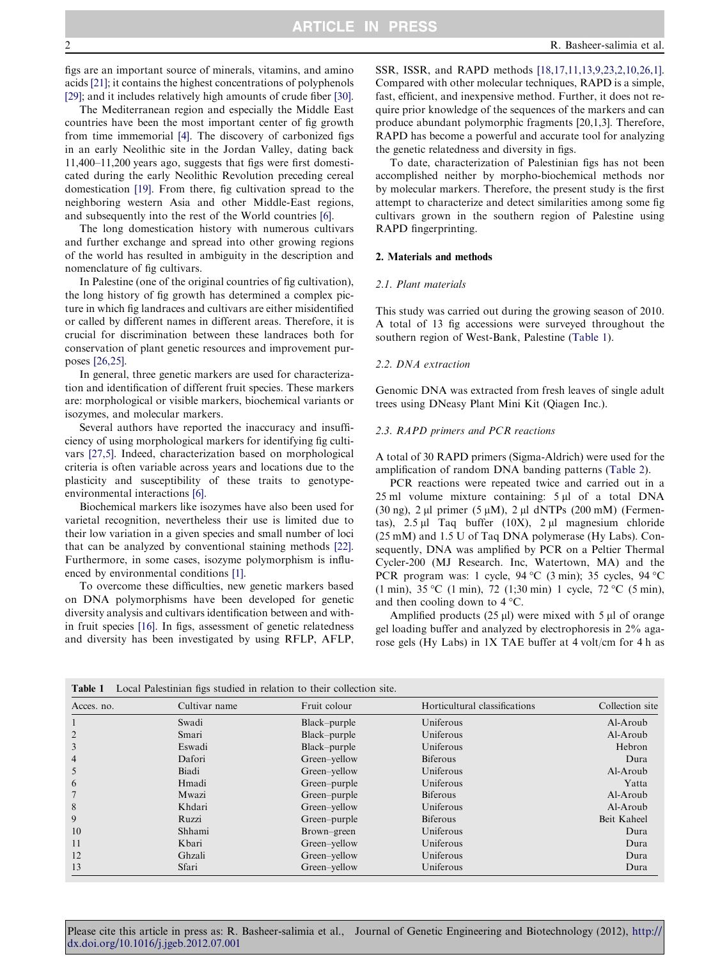<span id="page-1-0"></span>figs are an important source of minerals, vitamins, and amino acids [\[21\];](#page-6-0) it contains the highest concentrations of polyphenols [\[29\];](#page-6-0) and it includes relatively high amounts of crude fiber [\[30\]](#page-6-0).

The Mediterranean region and especially the Middle East countries have been the most important center of fig growth from time immemorial [\[4\].](#page-5-0) The discovery of carbonized figs in an early Neolithic site in the Jordan Valley, dating back 11,400–11,200 years ago, suggests that figs were first domesticated during the early Neolithic Revolution preceding cereal domestication [\[19\]](#page-6-0). From there, fig cultivation spread to the neighboring western Asia and other Middle-East regions, and subsequently into the rest of the World countries [\[6\]](#page-5-0).

The long domestication history with numerous cultivars and further exchange and spread into other growing regions of the world has resulted in ambiguity in the description and nomenclature of fig cultivars.

In Palestine (one of the original countries of fig cultivation), the long history of fig growth has determined a complex picture in which fig landraces and cultivars are either misidentified or called by different names in different areas. Therefore, it is crucial for discrimination between these landraces both for conservation of plant genetic resources and improvement purposes [\[26,25\].](#page-6-0)

In general, three genetic markers are used for characterization and identification of different fruit species. These markers are: morphological or visible markers, biochemical variants or isozymes, and molecular markers.

Several authors have reported the inaccuracy and insufficiency of using morphological markers for identifying fig cultivars [\[27,5\]](#page-6-0). Indeed, characterization based on morphological criteria is often variable across years and locations due to the plasticity and susceptibility of these traits to genotypeenvironmental interactions [\[6\].](#page-5-0)

Biochemical markers like isozymes have also been used for varietal recognition, nevertheless their use is limited due to their low variation in a given species and small number of loci that can be analyzed by conventional staining methods [\[22\]](#page-6-0). Furthermore, in some cases, isozyme polymorphism is influenced by environmental conditions [\[1\]](#page-5-0).

To overcome these difficulties, new genetic markers based on DNA polymorphisms have been developed for genetic diversity analysis and cultivars identification between and within fruit species [\[16\]](#page-6-0). In figs, assessment of genetic relatedness and diversity has been investigated by using RFLP, AFLP,

SSR, ISSR, and RAPD methods [\[18,17,11,13,9,23,2,10,26,1\]](#page-6-0). Compared with other molecular techniques, RAPD is a simple, fast, efficient, and inexpensive method. Further, it does not require prior knowledge of the sequences of the markers and can produce abundant polymorphic fragments [20,1,3]. Therefore, RAPD has become a powerful and accurate tool for analyzing the genetic relatedness and diversity in figs.

To date, characterization of Palestinian figs has not been accomplished neither by morpho-biochemical methods nor by molecular markers. Therefore, the present study is the first attempt to characterize and detect similarities among some fig cultivars grown in the southern region of Palestine using RAPD fingerprinting.

#### 2. Materials and methods

#### 2.1. Plant materials

This study was carried out during the growing season of 2010. A total of 13 fig accessions were surveyed throughout the southern region of West-Bank, Palestine (Table 1).

#### 2.2. DNA extraction

Genomic DNA was extracted from fresh leaves of single adult trees using DNeasy Plant Mini Kit (Qiagen Inc.).

#### 2.3. RAPD primers and PCR reactions

A total of 30 RAPD primers (Sigma-Aldrich) were used for the amplification of random DNA banding patterns [\(Table 2](#page-2-0)).

PCR reactions were repeated twice and carried out in a  $25$  ml volume mixture containing:  $5 \mu l$  of a total DNA (30 ng), 2  $\mu$ l primer (5  $\mu$ M), 2  $\mu$ l dNTPs (200 mM) (Fermentas),  $2.5 \mu l$  Taq buffer (10X),  $2 \mu l$  magnesium chloride (25 mM) and 1.5 U of Taq DNA polymerase (Hy Labs). Consequently, DNA was amplified by PCR on a Peltier Thermal Cycler-200 (MJ Research. Inc, Watertown, MA) and the PCR program was: 1 cycle,  $94 \text{ °C}$  (3 min); 35 cycles,  $94 \text{ °C}$  $(1 \text{ min})$ , 35 °C  $(1 \text{ min})$ , 72  $(1; 30 \text{ min})$  1 cycle, 72 °C  $(5 \text{ min})$ , and then cooling down to  $4^{\circ}$ C.

Amplified products  $(25 \mu l)$  were mixed with 5  $\mu l$  of orange gel loading buffer and analyzed by electrophoresis in 2% agarose gels (Hy Labs) in 1X TAE buffer at 4 volt/cm for 4 h as

| <b>Table 1</b> Local Palesunian ligs studied in relation to their conection site. |               |              |                               |                 |  |  |  |  |
|-----------------------------------------------------------------------------------|---------------|--------------|-------------------------------|-----------------|--|--|--|--|
| Acces. no.                                                                        | Cultivar name | Fruit colour | Horticultural classifications | Collection site |  |  |  |  |
|                                                                                   | Swadi         | Black-purple | Uniferous                     | Al-Aroub        |  |  |  |  |
| $\overline{2}$                                                                    | Smari         | Black-purple | Uniferous                     | Al-Aroub        |  |  |  |  |
| 3                                                                                 | Eswadi        | Black-purple | Uniferous                     | Hebron          |  |  |  |  |
| $\overline{4}$                                                                    | Dafori        | Green-yellow | <b>Biferous</b>               | Dura            |  |  |  |  |
| 5                                                                                 | Biadi         | Green-yellow | Uniferous                     | Al-Aroub        |  |  |  |  |
| 6                                                                                 | Hmadi         | Green-purple | Uniferous                     | Yatta           |  |  |  |  |
|                                                                                   | Mwazi         | Green-purple | <b>Biferous</b>               | Al-Aroub        |  |  |  |  |
| 8                                                                                 | Khdari        | Green-yellow | Uniferous                     | Al-Aroub        |  |  |  |  |
| 9                                                                                 | Ruzzi         | Green-purple | <b>Biferous</b>               | Beit Kaheel     |  |  |  |  |
| 10                                                                                | Shhami        | Brown-green  | Uniferous                     | Dura            |  |  |  |  |
| 11                                                                                | Kbari         | Green-yellow | Uniferous                     | Dura            |  |  |  |  |
| 12                                                                                | Ghzali        | Green-yellow | Uniferous                     | Dura            |  |  |  |  |
| 13                                                                                | Sfari         | Green-yellow | Uniferous                     | Dura            |  |  |  |  |

Table 1 Local Palestinian figs studied in relation to their collection site.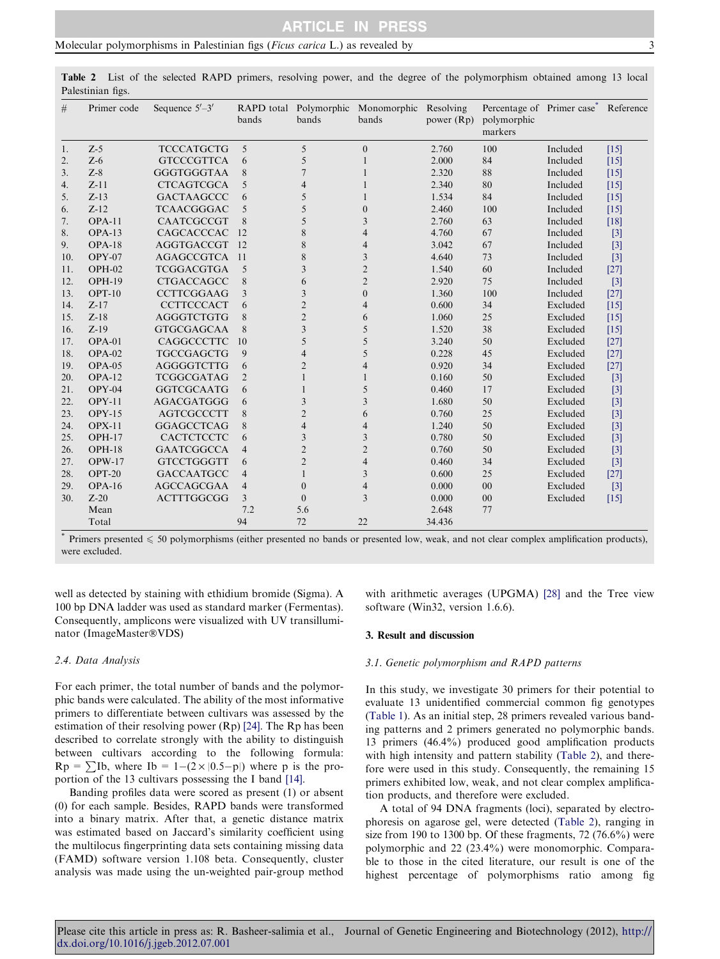<span id="page-2-0"></span>

| 5<br>$Z-5$<br>5<br>100<br><b>TCCCATGCTG</b><br>$\boldsymbol{0}$<br>2.760<br>Included<br>$[15]$<br>1.<br>$Z-6$<br>84<br>$\overline{2}$ .<br><b>GTCCCGTTCA</b><br>5<br>2.000<br>Included<br>6<br>$[15]$<br>1<br>$Z-8$<br>88<br><b>GGGTGGGTAA</b><br>2.320<br>3.<br>8<br>Included<br>$[15]$<br>7<br>$Z-11$<br><b>CTCAGTCGCA</b><br>2.340<br>80<br>4.<br>5<br>Included<br>$[15]$<br>$\overline{4}$<br>$Z-13$<br>1.534<br>84<br>5.<br><b>GACTAAGCCC</b><br>5<br>Included<br>6<br>$[15]$<br>$Z-12$<br><b>TCAACGGGAC</b><br>2.460<br>100<br>Included<br>6.<br>5<br>5<br>$\mathbf{0}$<br>$[15]$<br>$OPA-11$<br>CAATCGCCGT<br>8<br>2.760<br>63<br>7.<br>5<br>3<br>Included<br>$[18]$<br>$OPA-13$<br>CAGCACCCAC<br>4.760<br>8.<br>12<br>8<br>$\overline{4}$<br>67<br>Included<br>$[3]$<br>$OPA-18$<br><b>AGGTGACCGT</b><br><sup>12</sup><br>8<br>3.042<br>67<br>Included<br>9.<br>$\overline{4}$<br>$[3]$<br>$OPY-07$<br><b>AGAGCCGTCA</b><br>11<br>8<br>3<br>4.640<br>Included<br>10.<br>73<br>$[3]$<br>$OPH-02$<br><b>TCGGACGTGA</b><br>5<br>$\overline{2}$<br>1.540<br>60<br>Included<br>$[27]$<br>11.<br>3<br>OPH-19<br><b>CTGACCAGCC</b><br>$\overline{2}$<br>2.920<br>75<br>12.<br>8<br>Included<br>$[3]$<br>6<br>100<br>13.<br>$OPT-10$<br><b>CCTTCGGAAG</b><br>$\mathbf{0}$<br>1.360<br>3<br>3<br>Included<br>$[27]$<br>$Z - 17$<br><b>CCTTCCCACT</b><br>$\overline{2}$<br>0.600<br>34<br>14.<br>Excluded<br>6<br>4<br>$[15]$<br><b>AGGGTCTGTG</b><br>$\overline{2}$<br>15.<br>$Z-18$<br>8<br>1.060<br>25<br>Excluded<br>6<br>$[15]$<br>$Z-19$<br>16.<br><b>GTGCGAGCAA</b><br>8<br>3<br>5<br>1.520<br>38<br>Excluded<br>$[15]$<br>17.<br>$OPA-01$<br>CAGGCCCTTC<br>10<br>5<br>5<br>3.240<br>50<br>Excluded<br>$[27]$<br>$OPA-02$<br><b>TGCCGAGCTG</b><br>9<br>5<br>0.228<br>45<br>$[27]$<br>18.<br>Excluded<br>4<br>OPA-05<br><b>AGGGGTCTTG</b><br>0.920<br>34<br>19.<br>$\overline{2}$<br>$\overline{4}$<br>Excluded<br>$[27]$<br>6<br>$OPA-12$<br>20.<br><b>TCGGCGATAG</b><br>0.160<br>50<br>Excluded<br>$[3]$<br>$\overline{2}$<br>$OPY-04$<br><b>GGTCGCAATG</b><br>5<br>0.460<br>17<br>Excluded<br>21.<br>$[3]$<br>6<br>22.<br>$OPY-11$<br><b>AGACGATGGG</b><br>3<br>1.680<br>50<br>3<br>Excluded<br>$[3]$<br>6<br>$OPY-15$<br><b>AGTCGCCCTT</b><br>8<br>$\overline{c}$<br>0.760<br>25<br>Excluded<br>23.<br>6<br>$[3]$<br><b>OPX-11</b><br><b>GGAGCCTCAG</b><br>8<br>1.240<br>50<br>Excluded<br>24.<br>$\overline{4}$<br>$\overline{4}$<br>$[3]$<br>$OPH-17$<br>CACTCTCCTC<br>3<br>0.780<br>50<br>25.<br>6<br>3<br>Excluded<br>$[3]$<br>$OPH-18$<br><b>GAATCGGCCA</b><br>$\overline{2}$<br>0.760<br>50<br>$\overline{2}$<br>Excluded<br>$[3]$<br>26.<br>$\overline{4}$<br>$OPW-17$<br><b>GTCCTGGGTT</b><br>$\overline{2}$<br>27.<br>$\overline{4}$<br>0.460<br>34<br>Excluded<br>$[3]$<br>6<br>$OPT-20$<br><b>GACCAATGCC</b><br>3<br>0.600<br>25<br>Excluded<br>28.<br>$\overline{4}$<br>$[27]$<br>$OPA-16$<br><b>AGCCAGCGAA</b><br>$\overline{4}$<br>0.000<br>00<br>Excluded<br>29.<br>$\overline{\mathcal{L}}$<br>$\Omega$<br>$[3]$<br>3<br>$Z-20$<br><b>ACTTTGGCGG</b><br>30.<br>3<br>$\Omega$<br>0.000<br>00<br>Excluded<br>$[15]$<br>Mean<br>7.2<br>5.6<br>2.648<br>77 | # | Primer code | Sequence $5'-3'$ | bands | bands | RAPD total Polymorphic Monomorphic Resolving<br>bands | power (Rp) | Percentage of Primer case<br>polymorphic<br>markers | Reference |
|--------------------------------------------------------------------------------------------------------------------------------------------------------------------------------------------------------------------------------------------------------------------------------------------------------------------------------------------------------------------------------------------------------------------------------------------------------------------------------------------------------------------------------------------------------------------------------------------------------------------------------------------------------------------------------------------------------------------------------------------------------------------------------------------------------------------------------------------------------------------------------------------------------------------------------------------------------------------------------------------------------------------------------------------------------------------------------------------------------------------------------------------------------------------------------------------------------------------------------------------------------------------------------------------------------------------------------------------------------------------------------------------------------------------------------------------------------------------------------------------------------------------------------------------------------------------------------------------------------------------------------------------------------------------------------------------------------------------------------------------------------------------------------------------------------------------------------------------------------------------------------------------------------------------------------------------------------------------------------------------------------------------------------------------------------------------------------------------------------------------------------------------------------------------------------------------------------------------------------------------------------------------------------------------------------------------------------------------------------------------------------------------------------------------------------------------------------------------------------------------------------------------------------------------------------------------------------------------------------------------------------------------------------------------------------------------------------------------------------------------------------------------------------------------------------------------------------------------------------------------------------------------------------------------------------------------------------------------------------------------------------------------------------------------------------------------------------------------------------------------------------------------------------------------------------|---|-------------|------------------|-------|-------|-------------------------------------------------------|------------|-----------------------------------------------------|-----------|
|                                                                                                                                                                                                                                                                                                                                                                                                                                                                                                                                                                                                                                                                                                                                                                                                                                                                                                                                                                                                                                                                                                                                                                                                                                                                                                                                                                                                                                                                                                                                                                                                                                                                                                                                                                                                                                                                                                                                                                                                                                                                                                                                                                                                                                                                                                                                                                                                                                                                                                                                                                                                                                                                                                                                                                                                                                                                                                                                                                                                                                                                                                                                                                                |   |             |                  |       |       |                                                       |            |                                                     |           |
|                                                                                                                                                                                                                                                                                                                                                                                                                                                                                                                                                                                                                                                                                                                                                                                                                                                                                                                                                                                                                                                                                                                                                                                                                                                                                                                                                                                                                                                                                                                                                                                                                                                                                                                                                                                                                                                                                                                                                                                                                                                                                                                                                                                                                                                                                                                                                                                                                                                                                                                                                                                                                                                                                                                                                                                                                                                                                                                                                                                                                                                                                                                                                                                |   |             |                  |       |       |                                                       |            |                                                     |           |
|                                                                                                                                                                                                                                                                                                                                                                                                                                                                                                                                                                                                                                                                                                                                                                                                                                                                                                                                                                                                                                                                                                                                                                                                                                                                                                                                                                                                                                                                                                                                                                                                                                                                                                                                                                                                                                                                                                                                                                                                                                                                                                                                                                                                                                                                                                                                                                                                                                                                                                                                                                                                                                                                                                                                                                                                                                                                                                                                                                                                                                                                                                                                                                                |   |             |                  |       |       |                                                       |            |                                                     |           |
|                                                                                                                                                                                                                                                                                                                                                                                                                                                                                                                                                                                                                                                                                                                                                                                                                                                                                                                                                                                                                                                                                                                                                                                                                                                                                                                                                                                                                                                                                                                                                                                                                                                                                                                                                                                                                                                                                                                                                                                                                                                                                                                                                                                                                                                                                                                                                                                                                                                                                                                                                                                                                                                                                                                                                                                                                                                                                                                                                                                                                                                                                                                                                                                |   |             |                  |       |       |                                                       |            |                                                     |           |
|                                                                                                                                                                                                                                                                                                                                                                                                                                                                                                                                                                                                                                                                                                                                                                                                                                                                                                                                                                                                                                                                                                                                                                                                                                                                                                                                                                                                                                                                                                                                                                                                                                                                                                                                                                                                                                                                                                                                                                                                                                                                                                                                                                                                                                                                                                                                                                                                                                                                                                                                                                                                                                                                                                                                                                                                                                                                                                                                                                                                                                                                                                                                                                                |   |             |                  |       |       |                                                       |            |                                                     |           |
|                                                                                                                                                                                                                                                                                                                                                                                                                                                                                                                                                                                                                                                                                                                                                                                                                                                                                                                                                                                                                                                                                                                                                                                                                                                                                                                                                                                                                                                                                                                                                                                                                                                                                                                                                                                                                                                                                                                                                                                                                                                                                                                                                                                                                                                                                                                                                                                                                                                                                                                                                                                                                                                                                                                                                                                                                                                                                                                                                                                                                                                                                                                                                                                |   |             |                  |       |       |                                                       |            |                                                     |           |
|                                                                                                                                                                                                                                                                                                                                                                                                                                                                                                                                                                                                                                                                                                                                                                                                                                                                                                                                                                                                                                                                                                                                                                                                                                                                                                                                                                                                                                                                                                                                                                                                                                                                                                                                                                                                                                                                                                                                                                                                                                                                                                                                                                                                                                                                                                                                                                                                                                                                                                                                                                                                                                                                                                                                                                                                                                                                                                                                                                                                                                                                                                                                                                                |   |             |                  |       |       |                                                       |            |                                                     |           |
|                                                                                                                                                                                                                                                                                                                                                                                                                                                                                                                                                                                                                                                                                                                                                                                                                                                                                                                                                                                                                                                                                                                                                                                                                                                                                                                                                                                                                                                                                                                                                                                                                                                                                                                                                                                                                                                                                                                                                                                                                                                                                                                                                                                                                                                                                                                                                                                                                                                                                                                                                                                                                                                                                                                                                                                                                                                                                                                                                                                                                                                                                                                                                                                |   |             |                  |       |       |                                                       |            |                                                     |           |
|                                                                                                                                                                                                                                                                                                                                                                                                                                                                                                                                                                                                                                                                                                                                                                                                                                                                                                                                                                                                                                                                                                                                                                                                                                                                                                                                                                                                                                                                                                                                                                                                                                                                                                                                                                                                                                                                                                                                                                                                                                                                                                                                                                                                                                                                                                                                                                                                                                                                                                                                                                                                                                                                                                                                                                                                                                                                                                                                                                                                                                                                                                                                                                                |   |             |                  |       |       |                                                       |            |                                                     |           |
|                                                                                                                                                                                                                                                                                                                                                                                                                                                                                                                                                                                                                                                                                                                                                                                                                                                                                                                                                                                                                                                                                                                                                                                                                                                                                                                                                                                                                                                                                                                                                                                                                                                                                                                                                                                                                                                                                                                                                                                                                                                                                                                                                                                                                                                                                                                                                                                                                                                                                                                                                                                                                                                                                                                                                                                                                                                                                                                                                                                                                                                                                                                                                                                |   |             |                  |       |       |                                                       |            |                                                     |           |
|                                                                                                                                                                                                                                                                                                                                                                                                                                                                                                                                                                                                                                                                                                                                                                                                                                                                                                                                                                                                                                                                                                                                                                                                                                                                                                                                                                                                                                                                                                                                                                                                                                                                                                                                                                                                                                                                                                                                                                                                                                                                                                                                                                                                                                                                                                                                                                                                                                                                                                                                                                                                                                                                                                                                                                                                                                                                                                                                                                                                                                                                                                                                                                                |   |             |                  |       |       |                                                       |            |                                                     |           |
|                                                                                                                                                                                                                                                                                                                                                                                                                                                                                                                                                                                                                                                                                                                                                                                                                                                                                                                                                                                                                                                                                                                                                                                                                                                                                                                                                                                                                                                                                                                                                                                                                                                                                                                                                                                                                                                                                                                                                                                                                                                                                                                                                                                                                                                                                                                                                                                                                                                                                                                                                                                                                                                                                                                                                                                                                                                                                                                                                                                                                                                                                                                                                                                |   |             |                  |       |       |                                                       |            |                                                     |           |
|                                                                                                                                                                                                                                                                                                                                                                                                                                                                                                                                                                                                                                                                                                                                                                                                                                                                                                                                                                                                                                                                                                                                                                                                                                                                                                                                                                                                                                                                                                                                                                                                                                                                                                                                                                                                                                                                                                                                                                                                                                                                                                                                                                                                                                                                                                                                                                                                                                                                                                                                                                                                                                                                                                                                                                                                                                                                                                                                                                                                                                                                                                                                                                                |   |             |                  |       |       |                                                       |            |                                                     |           |
|                                                                                                                                                                                                                                                                                                                                                                                                                                                                                                                                                                                                                                                                                                                                                                                                                                                                                                                                                                                                                                                                                                                                                                                                                                                                                                                                                                                                                                                                                                                                                                                                                                                                                                                                                                                                                                                                                                                                                                                                                                                                                                                                                                                                                                                                                                                                                                                                                                                                                                                                                                                                                                                                                                                                                                                                                                                                                                                                                                                                                                                                                                                                                                                |   |             |                  |       |       |                                                       |            |                                                     |           |
|                                                                                                                                                                                                                                                                                                                                                                                                                                                                                                                                                                                                                                                                                                                                                                                                                                                                                                                                                                                                                                                                                                                                                                                                                                                                                                                                                                                                                                                                                                                                                                                                                                                                                                                                                                                                                                                                                                                                                                                                                                                                                                                                                                                                                                                                                                                                                                                                                                                                                                                                                                                                                                                                                                                                                                                                                                                                                                                                                                                                                                                                                                                                                                                |   |             |                  |       |       |                                                       |            |                                                     |           |
|                                                                                                                                                                                                                                                                                                                                                                                                                                                                                                                                                                                                                                                                                                                                                                                                                                                                                                                                                                                                                                                                                                                                                                                                                                                                                                                                                                                                                                                                                                                                                                                                                                                                                                                                                                                                                                                                                                                                                                                                                                                                                                                                                                                                                                                                                                                                                                                                                                                                                                                                                                                                                                                                                                                                                                                                                                                                                                                                                                                                                                                                                                                                                                                |   |             |                  |       |       |                                                       |            |                                                     |           |
|                                                                                                                                                                                                                                                                                                                                                                                                                                                                                                                                                                                                                                                                                                                                                                                                                                                                                                                                                                                                                                                                                                                                                                                                                                                                                                                                                                                                                                                                                                                                                                                                                                                                                                                                                                                                                                                                                                                                                                                                                                                                                                                                                                                                                                                                                                                                                                                                                                                                                                                                                                                                                                                                                                                                                                                                                                                                                                                                                                                                                                                                                                                                                                                |   |             |                  |       |       |                                                       |            |                                                     |           |
|                                                                                                                                                                                                                                                                                                                                                                                                                                                                                                                                                                                                                                                                                                                                                                                                                                                                                                                                                                                                                                                                                                                                                                                                                                                                                                                                                                                                                                                                                                                                                                                                                                                                                                                                                                                                                                                                                                                                                                                                                                                                                                                                                                                                                                                                                                                                                                                                                                                                                                                                                                                                                                                                                                                                                                                                                                                                                                                                                                                                                                                                                                                                                                                |   |             |                  |       |       |                                                       |            |                                                     |           |
|                                                                                                                                                                                                                                                                                                                                                                                                                                                                                                                                                                                                                                                                                                                                                                                                                                                                                                                                                                                                                                                                                                                                                                                                                                                                                                                                                                                                                                                                                                                                                                                                                                                                                                                                                                                                                                                                                                                                                                                                                                                                                                                                                                                                                                                                                                                                                                                                                                                                                                                                                                                                                                                                                                                                                                                                                                                                                                                                                                                                                                                                                                                                                                                |   |             |                  |       |       |                                                       |            |                                                     |           |
|                                                                                                                                                                                                                                                                                                                                                                                                                                                                                                                                                                                                                                                                                                                                                                                                                                                                                                                                                                                                                                                                                                                                                                                                                                                                                                                                                                                                                                                                                                                                                                                                                                                                                                                                                                                                                                                                                                                                                                                                                                                                                                                                                                                                                                                                                                                                                                                                                                                                                                                                                                                                                                                                                                                                                                                                                                                                                                                                                                                                                                                                                                                                                                                |   |             |                  |       |       |                                                       |            |                                                     |           |
|                                                                                                                                                                                                                                                                                                                                                                                                                                                                                                                                                                                                                                                                                                                                                                                                                                                                                                                                                                                                                                                                                                                                                                                                                                                                                                                                                                                                                                                                                                                                                                                                                                                                                                                                                                                                                                                                                                                                                                                                                                                                                                                                                                                                                                                                                                                                                                                                                                                                                                                                                                                                                                                                                                                                                                                                                                                                                                                                                                                                                                                                                                                                                                                |   |             |                  |       |       |                                                       |            |                                                     |           |
|                                                                                                                                                                                                                                                                                                                                                                                                                                                                                                                                                                                                                                                                                                                                                                                                                                                                                                                                                                                                                                                                                                                                                                                                                                                                                                                                                                                                                                                                                                                                                                                                                                                                                                                                                                                                                                                                                                                                                                                                                                                                                                                                                                                                                                                                                                                                                                                                                                                                                                                                                                                                                                                                                                                                                                                                                                                                                                                                                                                                                                                                                                                                                                                |   |             |                  |       |       |                                                       |            |                                                     |           |
|                                                                                                                                                                                                                                                                                                                                                                                                                                                                                                                                                                                                                                                                                                                                                                                                                                                                                                                                                                                                                                                                                                                                                                                                                                                                                                                                                                                                                                                                                                                                                                                                                                                                                                                                                                                                                                                                                                                                                                                                                                                                                                                                                                                                                                                                                                                                                                                                                                                                                                                                                                                                                                                                                                                                                                                                                                                                                                                                                                                                                                                                                                                                                                                |   |             |                  |       |       |                                                       |            |                                                     |           |
|                                                                                                                                                                                                                                                                                                                                                                                                                                                                                                                                                                                                                                                                                                                                                                                                                                                                                                                                                                                                                                                                                                                                                                                                                                                                                                                                                                                                                                                                                                                                                                                                                                                                                                                                                                                                                                                                                                                                                                                                                                                                                                                                                                                                                                                                                                                                                                                                                                                                                                                                                                                                                                                                                                                                                                                                                                                                                                                                                                                                                                                                                                                                                                                |   |             |                  |       |       |                                                       |            |                                                     |           |
|                                                                                                                                                                                                                                                                                                                                                                                                                                                                                                                                                                                                                                                                                                                                                                                                                                                                                                                                                                                                                                                                                                                                                                                                                                                                                                                                                                                                                                                                                                                                                                                                                                                                                                                                                                                                                                                                                                                                                                                                                                                                                                                                                                                                                                                                                                                                                                                                                                                                                                                                                                                                                                                                                                                                                                                                                                                                                                                                                                                                                                                                                                                                                                                |   |             |                  |       |       |                                                       |            |                                                     |           |
|                                                                                                                                                                                                                                                                                                                                                                                                                                                                                                                                                                                                                                                                                                                                                                                                                                                                                                                                                                                                                                                                                                                                                                                                                                                                                                                                                                                                                                                                                                                                                                                                                                                                                                                                                                                                                                                                                                                                                                                                                                                                                                                                                                                                                                                                                                                                                                                                                                                                                                                                                                                                                                                                                                                                                                                                                                                                                                                                                                                                                                                                                                                                                                                |   |             |                  |       |       |                                                       |            |                                                     |           |
|                                                                                                                                                                                                                                                                                                                                                                                                                                                                                                                                                                                                                                                                                                                                                                                                                                                                                                                                                                                                                                                                                                                                                                                                                                                                                                                                                                                                                                                                                                                                                                                                                                                                                                                                                                                                                                                                                                                                                                                                                                                                                                                                                                                                                                                                                                                                                                                                                                                                                                                                                                                                                                                                                                                                                                                                                                                                                                                                                                                                                                                                                                                                                                                |   |             |                  |       |       |                                                       |            |                                                     |           |
|                                                                                                                                                                                                                                                                                                                                                                                                                                                                                                                                                                                                                                                                                                                                                                                                                                                                                                                                                                                                                                                                                                                                                                                                                                                                                                                                                                                                                                                                                                                                                                                                                                                                                                                                                                                                                                                                                                                                                                                                                                                                                                                                                                                                                                                                                                                                                                                                                                                                                                                                                                                                                                                                                                                                                                                                                                                                                                                                                                                                                                                                                                                                                                                |   |             |                  |       |       |                                                       |            |                                                     |           |
|                                                                                                                                                                                                                                                                                                                                                                                                                                                                                                                                                                                                                                                                                                                                                                                                                                                                                                                                                                                                                                                                                                                                                                                                                                                                                                                                                                                                                                                                                                                                                                                                                                                                                                                                                                                                                                                                                                                                                                                                                                                                                                                                                                                                                                                                                                                                                                                                                                                                                                                                                                                                                                                                                                                                                                                                                                                                                                                                                                                                                                                                                                                                                                                |   |             |                  |       |       |                                                       |            |                                                     |           |
|                                                                                                                                                                                                                                                                                                                                                                                                                                                                                                                                                                                                                                                                                                                                                                                                                                                                                                                                                                                                                                                                                                                                                                                                                                                                                                                                                                                                                                                                                                                                                                                                                                                                                                                                                                                                                                                                                                                                                                                                                                                                                                                                                                                                                                                                                                                                                                                                                                                                                                                                                                                                                                                                                                                                                                                                                                                                                                                                                                                                                                                                                                                                                                                |   |             |                  |       |       |                                                       |            |                                                     |           |
|                                                                                                                                                                                                                                                                                                                                                                                                                                                                                                                                                                                                                                                                                                                                                                                                                                                                                                                                                                                                                                                                                                                                                                                                                                                                                                                                                                                                                                                                                                                                                                                                                                                                                                                                                                                                                                                                                                                                                                                                                                                                                                                                                                                                                                                                                                                                                                                                                                                                                                                                                                                                                                                                                                                                                                                                                                                                                                                                                                                                                                                                                                                                                                                |   |             |                  |       |       |                                                       |            |                                                     |           |
| 72<br>94<br>22<br>34.436<br>Total                                                                                                                                                                                                                                                                                                                                                                                                                                                                                                                                                                                                                                                                                                                                                                                                                                                                                                                                                                                                                                                                                                                                                                                                                                                                                                                                                                                                                                                                                                                                                                                                                                                                                                                                                                                                                                                                                                                                                                                                                                                                                                                                                                                                                                                                                                                                                                                                                                                                                                                                                                                                                                                                                                                                                                                                                                                                                                                                                                                                                                                                                                                                              |   |             |                  |       |       |                                                       |            |                                                     |           |

Primers presented  $\leq 50$  polymorphisms (either presented no bands or presented low, weak, and not clear complex amplification products), were excluded.

well as detected by staining with ethidium bromide (Sigma). A 100 bp DNA ladder was used as standard marker (Fermentas). Consequently, amplicons were visualized with UV transilluminator (ImageMaster®VDS)

# 2.4. Data Analysis

For each primer, the total number of bands and the polymorphic bands were calculated. The ability of the most informative primers to differentiate between cultivars was assessed by the estimation of their resolving power (Rp) [\[24\]](#page-6-0). The Rp has been described to correlate strongly with the ability to distinguish between cultivars according to the following formula:  $Rp = \sum lb$ , where  $lb = 1 - (2 \times |0.5-p|)$  where p is the proportion of the 13 cultivars possessing the I band [\[14\]](#page-6-0).

Banding profiles data were scored as present (1) or absent (0) for each sample. Besides, RAPD bands were transformed into a binary matrix. After that, a genetic distance matrix was estimated based on Jaccard's similarity coefficient using the multilocus fingerprinting data sets containing missing data (FAMD) software version 1.108 beta. Consequently, cluster analysis was made using the un-weighted pair-group method with arithmetic averages (UPGMA) [\[28\]](#page-6-0) and the Tree view software (Win32, version 1.6.6).

#### 3. Result and discussion

# 3.1. Genetic polymorphism and RAPD patterns

In this study, we investigate 30 primers for their potential to evaluate 13 unidentified commercial common fig genotypes [\(Table 1](#page-1-0)). As an initial step, 28 primers revealed various banding patterns and 2 primers generated no polymorphic bands. 13 primers (46.4%) produced good amplification products with high intensity and pattern stability (Table 2), and therefore were used in this study. Consequently, the remaining 15 primers exhibited low, weak, and not clear complex amplification products, and therefore were excluded.

A total of 94 DNA fragments (loci), separated by electrophoresis on agarose gel, were detected (Table 2), ranging in size from 190 to 1300 bp. Of these fragments,  $72 (76.6\%)$  were polymorphic and 22 (23.4%) were monomorphic. Comparable to those in the cited literature, our result is one of the highest percentage of polymorphisms ratio among fig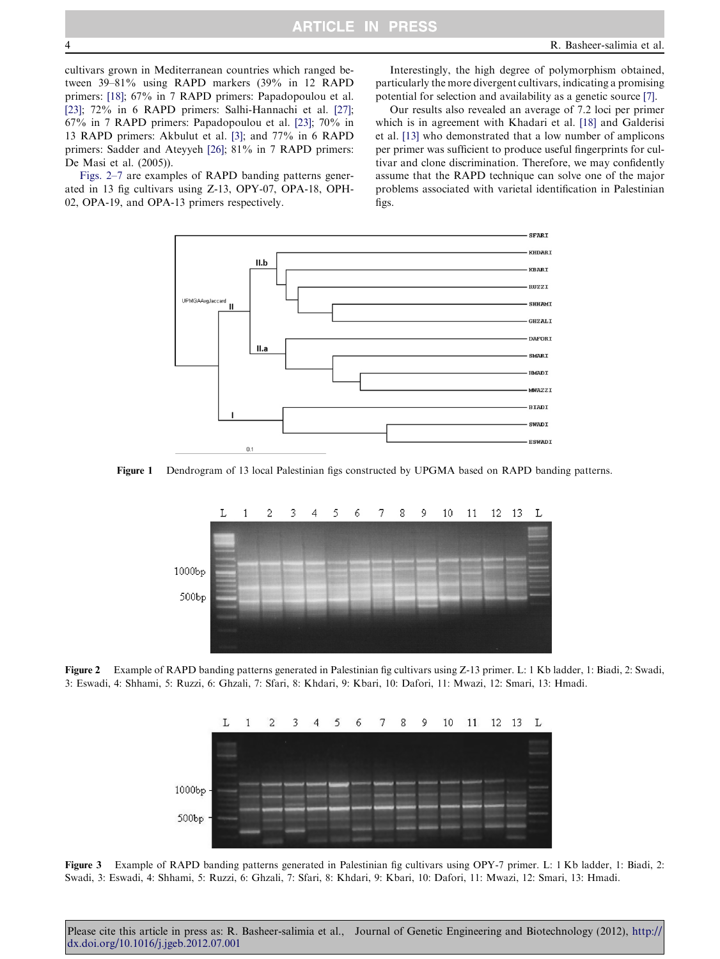<span id="page-3-0"></span>cultivars grown in Mediterranean countries which ranged between 39–81% using RAPD markers (39% in 12 RAPD primers: [\[18\];](#page-6-0) 67% in 7 RAPD primers: Papadopoulou et al. [\[23\];](#page-6-0) 72% in 6 RAPD primers: Salhi-Hannachi et al. [\[27\]](#page-6-0); 67% in 7 RAPD primers: Papadopoulou et al. [\[23\];](#page-6-0) 70% in 13 RAPD primers: Akbulut et al. [\[3\];](#page-5-0) and 77% in 6 RAPD primers: Sadder and Ateyyeh [\[26\]](#page-6-0); 81% in 7 RAPD primers: De Masi et al. (2005)).

Figs. 2–7 are examples of RAPD banding patterns generated in 13 fig cultivars using Z-13, OPY-07, OPA-18, OPH-02, OPA-19, and OPA-13 primers respectively.

Interestingly, the high degree of polymorphism obtained, particularly the more divergent cultivars, indicating a promising potential for selection and availability as a genetic source [\[7\].](#page-5-0)

Our results also revealed an average of 7.2 loci per primer which is in agreement with Khadari et al. [\[18\]](#page-6-0) and Galderisi et al. [\[13\]](#page-6-0) who demonstrated that a low number of amplicons per primer was sufficient to produce useful fingerprints for cultivar and clone discrimination. Therefore, we may confidently assume that the RAPD technique can solve one of the major problems associated with varietal identification in Palestinian figs.



Figure 1 Dendrogram of 13 local Palestinian figs constructed by UPGMA based on RAPD banding patterns.



Figure 2 Example of RAPD banding patterns generated in Palestinian fig cultivars using Z-13 primer. L: 1 Kb ladder, 1: Biadi, 2: Swadi, 3: Eswadi, 4: Shhami, 5: Ruzzi, 6: Ghzali, 7: Sfari, 8: Khdari, 9: Kbari, 10: Dafori, 11: Mwazi, 12: Smari, 13: Hmadi.



Figure 3 Example of RAPD banding patterns generated in Palestinian fig cultivars using OPY-7 primer. L: 1 Kb ladder, 1: Biadi, 2: Swadi, 3: Eswadi, 4: Shhami, 5: Ruzzi, 6: Ghzali, 7: Sfari, 8: Khdari, 9: Kbari, 10: Dafori, 11: Mwazi, 12: Smari, 13: Hmadi.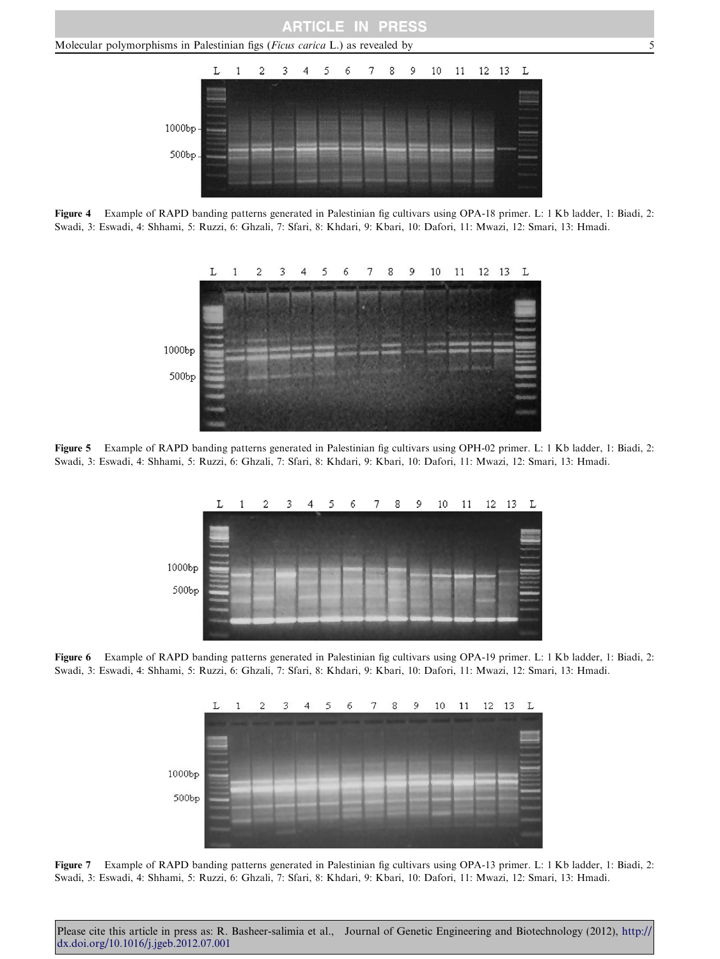

Figure 4 Example of RAPD banding patterns generated in Palestinian fig cultivars using OPA-18 primer. L: 1 Kb ladder, 1: Biadi, 2: Swadi, 3: Eswadi, 4: Shhami, 5: Ruzzi, 6: Ghzali, 7: Sfari, 8: Khdari, 9: Kbari, 10: Dafori, 11: Mwazi, 12: Smari, 13: Hmadi.



Figure 5 Example of RAPD banding patterns generated in Palestinian fig cultivars using OPH-02 primer. L: 1 Kb ladder, 1: Biadi, 2: Swadi, 3: Eswadi, 4: Shhami, 5: Ruzzi, 6: Ghzali, 7: Sfari, 8: Khdari, 9: Kbari, 10: Dafori, 11: Mwazi, 12: Smari, 13: Hmadi.



Figure 6 Example of RAPD banding patterns generated in Palestinian fig cultivars using OPA-19 primer. L: 1 Kb ladder, 1: Biadi, 2: Swadi, 3: Eswadi, 4: Shhami, 5: Ruzzi, 6: Ghzali, 7: Sfari, 8: Khdari, 9: Kbari, 10: Dafori, 11: Mwazi, 12: Smari, 13: Hmadi.



Figure 7 Example of RAPD banding patterns generated in Palestinian fig cultivars using OPA-13 primer. L: 1 Kb ladder, 1: Biadi, 2: Swadi, 3: Eswadi, 4: Shhami, 5: Ruzzi, 6: Ghzali, 7: Sfari, 8: Khdari, 9: Kbari, 10: Dafori, 11: Mwazi, 12: Smari, 13: Hmadi.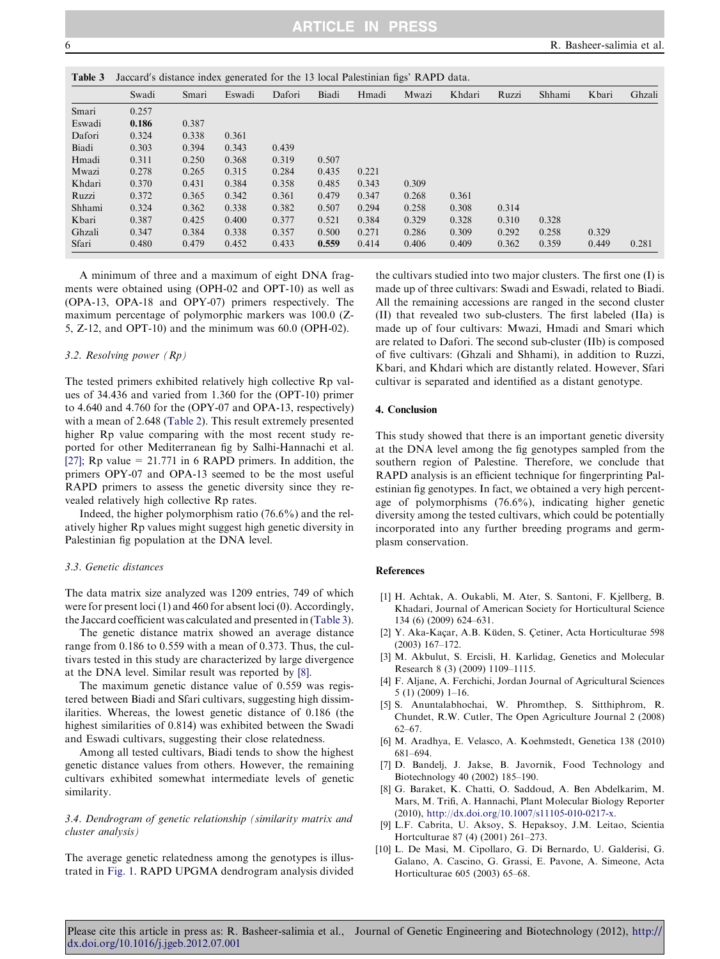| Table 3 | Jaccard's distance index generated for the 13 local Palestinian figs' RAPD data. |       |        |        |       |       |       |        |       |        |       |        |
|---------|----------------------------------------------------------------------------------|-------|--------|--------|-------|-------|-------|--------|-------|--------|-------|--------|
|         | Swadi                                                                            | Smari | Eswadi | Dafori | Biadi | Hmadi | Mwazi | Khdari | Ruzzi | Shhami | Kbari | Ghzali |
| Smari   | 0.257                                                                            |       |        |        |       |       |       |        |       |        |       |        |
| Eswadi  | 0.186                                                                            | 0.387 |        |        |       |       |       |        |       |        |       |        |
| Dafori  | 0.324                                                                            | 0.338 | 0.361  |        |       |       |       |        |       |        |       |        |
| Biadi   | 0.303                                                                            | 0.394 | 0.343  | 0.439  |       |       |       |        |       |        |       |        |
| Hmadi   | 0.311                                                                            | 0.250 | 0.368  | 0.319  | 0.507 |       |       |        |       |        |       |        |
| Mwazi   | 0.278                                                                            | 0.265 | 0.315  | 0.284  | 0.435 | 0.221 |       |        |       |        |       |        |
| Khdari  | 0.370                                                                            | 0.431 | 0.384  | 0.358  | 0.485 | 0.343 | 0.309 |        |       |        |       |        |
| Ruzzi   | 0.372                                                                            | 0.365 | 0.342  | 0.361  | 0.479 | 0.347 | 0.268 | 0.361  |       |        |       |        |
| Shhami  | 0.324                                                                            | 0.362 | 0.338  | 0.382  | 0.507 | 0.294 | 0.258 | 0.308  | 0.314 |        |       |        |
| Kbari   | 0.387                                                                            | 0.425 | 0.400  | 0.377  | 0.521 | 0.384 | 0.329 | 0.328  | 0.310 | 0.328  |       |        |
| Ghzali  | 0.347                                                                            | 0.384 | 0.338  | 0.357  | 0.500 | 0.271 | 0.286 | 0.309  | 0.292 | 0.258  | 0.329 |        |
| Sfari   | 0.480                                                                            | 0.479 | 0.452  | 0.433  | 0.559 | 0.414 | 0.406 | 0.409  | 0.362 | 0.359  | 0.449 | 0.281  |

A minimum of three and a maximum of eight DNA fragments were obtained using (OPH-02 and OPT-10) as well as (OPA-13, OPA-18 and OPY-07) primers respectively. The maximum percentage of polymorphic markers was 100.0 (Z-5, Z-12, and OPT-10) and the minimum was 60.0 (OPH-02).

# 3.2. Resolving power (Rp)

The tested primers exhibited relatively high collective Rp values of 34.436 and varied from 1.360 for the (OPT-10) primer to 4.640 and 4.760 for the (OPY-07 and OPA-13, respectively) with a mean of 2.648 [\(Table 2\)](#page-2-0). This result extremely presented higher Rp value comparing with the most recent study reported for other Mediterranean fig by Salhi-Hannachi et al. [\[27\];](#page-6-0) Rp value = 21.771 in 6 RAPD primers. In addition, the primers OPY-07 and OPA-13 seemed to be the most useful RAPD primers to assess the genetic diversity since they revealed relatively high collective Rp rates.

Indeed, the higher polymorphism ratio (76.6%) and the relatively higher Rp values might suggest high genetic diversity in Palestinian fig population at the DNA level.

# 3.3. Genetic distances

The data matrix size analyzed was 1209 entries, 749 of which were for present loci (1) and 460 for absent loci (0). Accordingly, the Jaccard coefficient was calculated and presented in (Table 3).

The genetic distance matrix showed an average distance range from 0.186 to 0.559 with a mean of 0.373. Thus, the cultivars tested in this study are characterized by large divergence at the DNA level. Similar result was reported by [8].

The maximum genetic distance value of 0.559 was registered between Biadi and Sfari cultivars, suggesting high dissimilarities. Whereas, the lowest genetic distance of 0.186 (the highest similarities of 0.814) was exhibited between the Swadi and Eswadi cultivars, suggesting their close relatedness.

Among all tested cultivars, Biadi tends to show the highest genetic distance values from others. However, the remaining cultivars exhibited somewhat intermediate levels of genetic similarity.

# 3.4. Dendrogram of genetic relationship (similarity matrix and cluster analysis)

The average genetic relatedness among the genotypes is illustrated in [Fig. 1.](#page-3-0) RAPD UPGMA dendrogram analysis divided the cultivars studied into two major clusters. The first one (I) is made up of three cultivars: Swadi and Eswadi, related to Biadi. All the remaining accessions are ranged in the second cluster (II) that revealed two sub-clusters. The first labeled (IIa) is made up of four cultivars: Mwazi, Hmadi and Smari which are related to Dafori. The second sub-cluster (IIb) is composed of five cultivars: (Ghzali and Shhami), in addition to Ruzzi, Kbari, and Khdari which are distantly related. However, Sfari cultivar is separated and identified as a distant genotype.

#### 4. Conclusion

This study showed that there is an important genetic diversity at the DNA level among the fig genotypes sampled from the southern region of Palestine. Therefore, we conclude that RAPD analysis is an efficient technique for fingerprinting Palestinian fig genotypes. In fact, we obtained a very high percentage of polymorphisms (76.6%), indicating higher genetic diversity among the tested cultivars, which could be potentially incorporated into any further breeding programs and germplasm conservation.

#### References

- [1] H. Achtak, A. Oukabli, M. Ater, S. Santoni, F. Kjellberg, B. Khadari, Journal of American Society for Horticultural Science 134 (6) (2009) 624–631.
- [2] Y. Aka-Kaçar, A.B. Küden, S. Çetiner, Acta Horticulturae 598 (2003) 167–172.
- [3] M. Akbulut, S. Ercisli, H. Karlidag, Genetics and Molecular Research 8 (3) (2009) 1109–1115.
- [4] F. Aljane, A. Ferchichi, Jordan Journal of Agricultural Sciences 5 (1) (2009) 1–16.
- [5] S. Anuntalabhochai, W. Phromthep, S. Sitthiphrom, R. Chundet, R.W. Cutler, The Open Agriculture Journal 2 (2008) 62–67.
- [6] M. Aradhya, E. Velasco, A. Koehmstedt, Genetica 138 (2010) 681–694.
- [7] D. Bandelj, J. Jakse, B. Javornik, Food Technology and Biotechnology 40 (2002) 185–190.
- [8] G. Baraket, K. Chatti, O. Saddoud, A. Ben Abdelkarim, M. Mars, M. Trifi, A. Hannachi, Plant Molecular Biology Reporter (2010), http://dx.doi.org[/10.1007/s11105-010-0217-x.](http://dx.doi.org/10.1007/s11105-010-0217-x)
- [9] L.F. Cabrita, U. Aksoy, S. Hepaksoy, J.M. Leitao, Scientia Hortculturae 87 (4) (2001) 261–273.
- [10] L. De Masi, M. Cipollaro, G. Di Bernardo, U. Galderisi, G. Galano, A. Cascino, G. Grassi, E. Pavone, A. Simeone, Acta Horticulturae 605 (2003) 65–68.

<span id="page-5-0"></span>